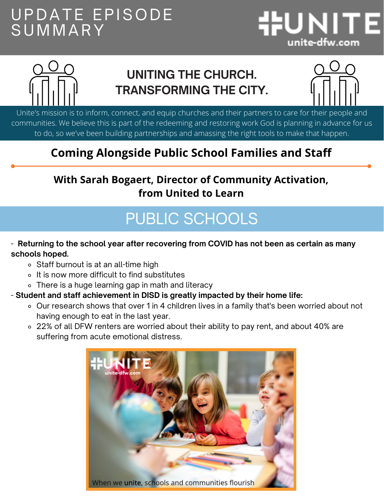### UPDATE EPISODE S U M M ARY





#### **UNITING THE CHURCH. TRANSFORMING THE CITY.**



Unite's mission is to inform, connect, and equip churches and their partners to care for their people and communities. We believe this is part of the redeeming and restoring work God is planning in advance for us to do, so we've been building partnerships and amassing the right tools to make that happen.

#### **Coming Alongside Public School Families and Staff**

#### **With Sarah Bogaert, Director of Community Activation, from United to Learn**

## PUBLIC SCHOOLS

#### - **Returning to the school year after recovering from COVID has not been as certain as many schools hoped.**

- Staff burnout is at an all-time high
- o It is now more difficult to find substitutes
- There is a huge learning gap in math and literacy
- **Student and staff achievement in DISD is greatly impacted by their home life:**
	- Our research shows that over 1 in 4 children lives in a family that's been worried about not having enough to eat in the last year.
	- 22% of all DFW renters are worried about their ability to pay rent, and about 40% are suffering from acute emotional distress.